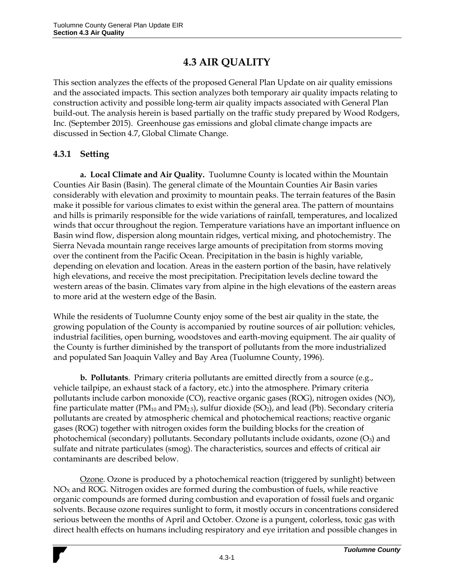# **4.3 AIR QUALITY**

This section analyzes the effects of the proposed General Plan Update on air quality emissions and the associated impacts. This section analyzes both temporary air quality impacts relating to construction activity and possible long-term air quality impacts associated with General Plan build-out. The analysis herein is based partially on the traffic study prepared by Wood Rodgers, Inc. (September 2015). Greenhouse gas emissions and global climate change impacts are discussed in Section 4.7, Global Climate Change.

## **4.3.1 Setting**

**a. Local Climate and Air Quality.** Tuolumne County is located within the Mountain Counties Air Basin (Basin). The general climate of the Mountain Counties Air Basin varies considerably with elevation and proximity to mountain peaks. The terrain features of the Basin make it possible for various climates to exist within the general area. The pattern of mountains and hills is primarily responsible for the wide variations of rainfall, temperatures, and localized winds that occur throughout the region. Temperature variations have an important influence on Basin wind flow, dispersion along mountain ridges, vertical mixing, and photochemistry. The Sierra Nevada mountain range receives large amounts of precipitation from storms moving over the continent from the Pacific Ocean. Precipitation in the basin is highly variable, depending on elevation and location. Areas in the eastern portion of the basin, have relatively high elevations, and receive the most precipitation. Precipitation levels decline toward the western areas of the basin. Climates vary from alpine in the high elevations of the eastern areas to more arid at the western edge of the Basin.

While the residents of Tuolumne County enjoy some of the best air quality in the state, the growing population of the County is accompanied by routine sources of air pollution: vehicles, industrial facilities, open burning, woodstoves and earth-moving equipment. The air quality of the County is further diminished by the transport of pollutants from the more industrialized and populated San Joaquin Valley and Bay Area (Tuolumne County, 1996).

**b. Pollutants**. Primary criteria pollutants are emitted directly from a source (e.g., vehicle tailpipe, an exhaust stack of a factory, etc.) into the atmosphere. Primary criteria pollutants include carbon monoxide (CO), reactive organic gases (ROG), nitrogen oxides (NO), fine particulate matter ( $PM_{10}$  and  $PM_{2.5}$ ), sulfur dioxide (SO<sub>2</sub>), and lead (Pb). Secondary criteria pollutants are created by atmospheric chemical and photochemical reactions; reactive organic gases (ROG) together with nitrogen oxides form the building blocks for the creation of photochemical (secondary) pollutants. Secondary pollutants include oxidants, ozone (O<sub>3</sub>) and sulfate and nitrate particulates (smog). The characteristics, sources and effects of critical air contaminants are described below.

Ozone. Ozone is produced by a photochemical reaction (triggered by sunlight) between  $NO<sub>X</sub>$  and ROG. Nitrogen oxides are formed during the combustion of fuels, while reactive organic compounds are formed during combustion and evaporation of fossil fuels and organic solvents. Because ozone requires sunlight to form, it mostly occurs in concentrations considered serious between the months of April and October. Ozone is a pungent, colorless, toxic gas with direct health effects on humans including respiratory and eye irritation and possible changes in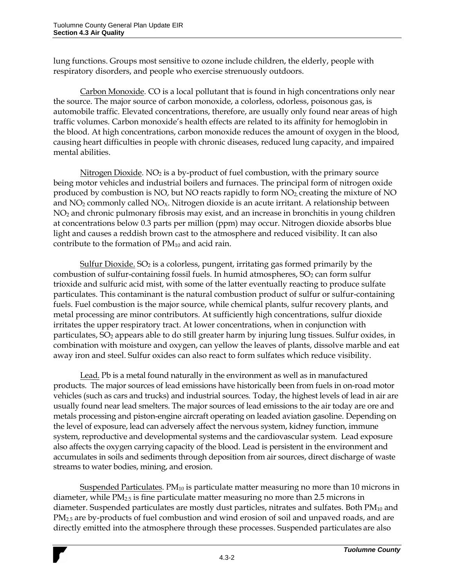lung functions. Groups most sensitive to ozone include children, the elderly, people with respiratory disorders, and people who exercise strenuously outdoors.

Carbon Monoxide. CO is a local pollutant that is found in high concentrations only near the source. The major source of carbon monoxide, a colorless, odorless, poisonous gas, is automobile traffic. Elevated concentrations, therefore, are usually only found near areas of high traffic volumes. Carbon monoxide's health effects are related to its affinity for hemoglobin in the blood. At high concentrations, carbon monoxide reduces the amount of oxygen in the blood, causing heart difficulties in people with chronic diseases, reduced lung capacity, and impaired mental abilities.

Nitrogen Dioxide.  $NO<sub>2</sub>$  is a by-product of fuel combustion, with the primary source being motor vehicles and industrial boilers and furnaces. The principal form of nitrogen oxide produced by combustion is NO, but NO reacts rapidly to form  $NO<sub>2</sub>$ , creating the mixture of NO and  $NO<sub>2</sub>$  commonly called  $NO<sub>X</sub>$ . Nitrogen dioxide is an acute irritant. A relationship between NO<sup>2</sup> and chronic pulmonary fibrosis may exist, and an increase in bronchitis in young children at concentrations below 0.3 parts per million (ppm) may occur. Nitrogen dioxide absorbs blue light and causes a reddish brown cast to the atmosphere and reduced visibility. It can also contribute to the formation of  $PM_{10}$  and acid rain.

Sulfur Dioxide. SO<sub>2</sub> is a colorless, pungent, irritating gas formed primarily by the combustion of sulfur-containing fossil fuels. In humid atmospheres,  $SO<sub>2</sub>$  can form sulfur trioxide and sulfuric acid mist, with some of the latter eventually reacting to produce sulfate particulates. This contaminant is the natural combustion product of sulfur or sulfur-containing fuels. Fuel combustion is the major source, while chemical plants, sulfur recovery plants, and metal processing are minor contributors. At sufficiently high concentrations, sulfur dioxide irritates the upper respiratory tract. At lower concentrations, when in conjunction with particulates,  $SO_2$  appears able to do still greater harm by injuring lung tissues. Sulfur oxides, in combination with moisture and oxygen, can yellow the leaves of plants, dissolve marble and eat away iron and steel. Sulfur oxides can also react to form sulfates which reduce visibility.

Lead. Pb is a metal found naturally in the environment as well as in manufactured products. The major sources of lead emissions have historically been from fuels in on-road motor vehicles (such as cars and trucks) and industrial sources. Today, the highest levels of lead in air are usually found near lead smelters. The major sources of lead emissions to the air today are ore and metals processing and piston-engine aircraft operating on leaded aviation gasoline. Depending on the level of exposure, lead can adversely affect the nervous system, kidney function, immune system, reproductive and developmental systems and the cardiovascular system. Lead exposure also affects the oxygen carrying capacity of the blood. Lead is persistent in the environment and accumulates in soils and sediments through deposition from air sources, direct discharge of waste streams to water bodies, mining, and erosion.

Suspended Particulates. PM<sub>10</sub> is particulate matter measuring no more than 10 microns in diameter, while PM2.5 is fine particulate matter measuring no more than 2.5 microns in diameter. Suspended particulates are mostly dust particles, nitrates and sulfates. Both PM<sub>10</sub> and PM<sub>2.5</sub> are by-products of fuel combustion and wind erosion of soil and unpaved roads, and are directly emitted into the atmosphere through these processes. Suspended particulates are also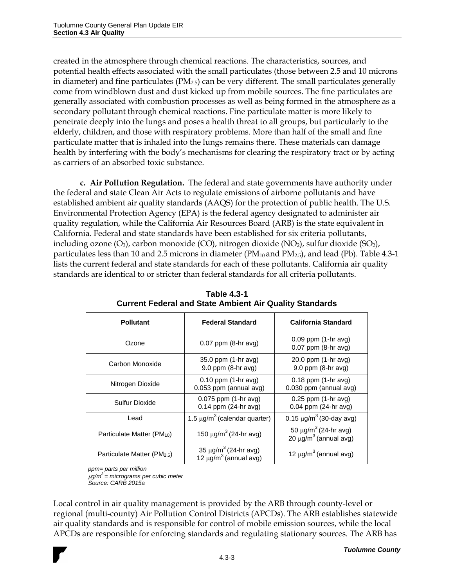created in the atmosphere through chemical reactions. The characteristics, sources, and potential health effects associated with the small particulates (those between 2.5 and 10 microns in diameter) and fine particulates ( $PM<sub>2.5</sub>$ ) can be very different. The small particulates generally come from windblown dust and dust kicked up from mobile sources. The fine particulates are generally associated with combustion processes as well as being formed in the atmosphere as a secondary pollutant through chemical reactions. Fine particulate matter is more likely to penetrate deeply into the lungs and poses a health threat to all groups, but particularly to the elderly, children, and those with respiratory problems. More than half of the small and fine particulate matter that is inhaled into the lungs remains there. These materials can damage health by interfering with the body's mechanisms for clearing the respiratory tract or by acting as carriers of an absorbed toxic substance.

**c. Air Pollution Regulation.** The federal and state governments have authority under the federal and state Clean Air Acts to regulate emissions of airborne pollutants and have established ambient air quality standards (AAQS) for the protection of public health. The U.S. Environmental Protection Agency (EPA) is the federal agency designated to administer air quality regulation, while the California Air Resources Board (ARB) is the state equivalent in California. Federal and state standards have been established for six criteria pollutants, including ozone (O<sub>3</sub>), carbon monoxide (CO), nitrogen dioxide (NO<sub>2</sub>), sulfur dioxide (SO<sub>2</sub>), particulates less than 10 and 2.5 microns in diameter  $(PM_{10}$  and  $PM_{2.5})$ , and lead (Pb). Table 4.3-1 lists the current federal and state standards for each of these pollutants. California air quality standards are identical to or stricter than federal standards for all criteria pollutants.

| <b>Pollutant</b>                        | <b>Federal Standard</b>                                                      | <b>California Standard</b>                                  |  |  |
|-----------------------------------------|------------------------------------------------------------------------------|-------------------------------------------------------------|--|--|
| Ozone                                   | $0.07$ ppm $(8-hr$ avg)                                                      | $0.09$ ppm $(1-hr$ avg)<br>$0.07$ ppm $(8-hr$ avg)          |  |  |
| Carbon Monoxide                         | 35.0 ppm (1-hr avg)<br>$9.0$ ppm $(8-hr$ avg)                                | 20.0 ppm (1-hr avg)<br>$9.0$ ppm $(8-hr$ avg)               |  |  |
| Nitrogen Dioxide                        | $0.10$ ppm $(1-hr$ avg)<br>0.053 ppm (annual avg)                            | $0.18$ ppm $(1-hr$ avg)<br>0.030 ppm (annual avg)           |  |  |
| Sulfur Dioxide                          | $0.075$ ppm $(1-hr$ avg)<br>0.14 ppm (24-hr avg)                             | $0.25$ ppm $(1-hr$ avg)<br>0.04 ppm (24-hr avg)             |  |  |
| Lead                                    | 1.5 $\mu$ g/m <sup>3</sup> (calendar quarter)                                | 0.15 $\mu$ g/m <sup>3</sup> (30-day avg)                    |  |  |
| Particulate Matter (PM <sub>10</sub> )  | 150 $\mu$ g/m <sup>3</sup> (24-hr avg)                                       | 50 μg/m <sup>3</sup> (24-hr avg)<br>20 $μg/m3$ (annual avg) |  |  |
| Particulate Matter (PM <sub>2.5</sub> ) | $35 \mu g/m^3 (24-hr \text{ avg})$<br>12 $\mu$ g/m <sup>3</sup> (annual avg) | 12 $\mu$ g/m <sup>3</sup> (annual avg)                      |  |  |

**Table 4.3-1 Current Federal and State Ambient Air Quality Standards**

*ppm= parts per million*

*g/m<sup>3</sup>= micrograms per cubic meter Source: CARB 2015a*

Local control in air quality management is provided by the ARB through county-level or regional (multi-county) Air Pollution Control Districts (APCDs). The ARB establishes statewide air quality standards and is responsible for control of mobile emission sources, while the local APCDs are responsible for enforcing standards and regulating stationary sources. The ARB has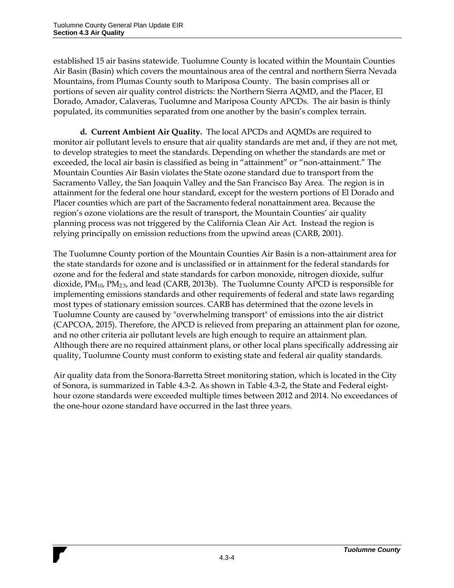established 15 air basins statewide. Tuolumne County is located within the Mountain Counties Air Basin (Basin) which covers the mountainous area of the central and northern Sierra Nevada Mountains, from Plumas County south to Mariposa County. The basin comprises all or portions of seven air quality control districts: the Northern Sierra AQMD, and the Placer, El Dorado, Amador, Calaveras, Tuolumne and Mariposa County APCDs. The air basin is thinly populated, its communities separated from one another by the basin's complex terrain.

**d. Current Ambient Air Quality.** The local APCDs and AQMDs are required to monitor air pollutant levels to ensure that air quality standards are met and, if they are not met, to develop strategies to meet the standards. Depending on whether the standards are met or exceeded, the local air basin is classified as being in "attainment" or "non-attainment." The Mountain Counties Air Basin violates the State ozone standard due to transport from the Sacramento Valley, the San Joaquin Valley and the San Francisco Bay Area. The region is in attainment for the federal one hour standard, except for the western portions of El Dorado and Placer counties which are part of the Sacramento federal nonattainment area. Because the region's ozone violations are the result of transport, the Mountain Counties' air quality planning process was not triggered by the California Clean Air Act. Instead the region is relying principally on emission reductions from the upwind areas (CARB, 2001).

The Tuolumne County portion of the Mountain Counties Air Basin is a non-attainment area for the state standards for ozone and is unclassified or in attainment for the federal standards for ozone and for the federal and state standards for carbon monoxide, nitrogen dioxide, sulfur dioxide, PM10, PM2.5, and lead (CARB, 2013b). The Tuolumne County APCD is responsible for implementing emissions standards and other requirements of federal and state laws regarding most types of stationary emission sources. CARB has determined that the ozone levels in Tuolumne County are caused by "overwhelming transport" of emissions into the air district (CAPCOA, 2015). Therefore, the APCD is relieved from preparing an attainment plan for ozone, and no other criteria air pollutant levels are high enough to require an attainment plan. Although there are no required attainment plans, or other local plans specifically addressing air quality, Tuolumne County must conform to existing state and federal air quality standards.

Air quality data from the Sonora-Barretta Street monitoring station, which is located in the City of Sonora, is summarized in Table 4.3-2. As shown in Table 4.3-2, the State and Federal eighthour ozone standards were exceeded multiple times between 2012 and 2014. No exceedances of the one-hour ozone standard have occurred in the last three years.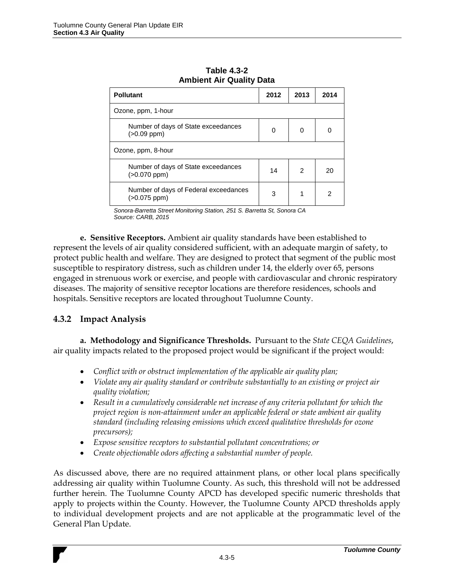| <b>Pollutant</b>                                         | 2012 | 2013 | 2014 |  |
|----------------------------------------------------------|------|------|------|--|
| Ozone, ppm, 1-hour                                       |      |      |      |  |
| Number of days of State exceedances<br>$(>0.09$ ppm $)$  | 0    | 0    | 0    |  |
| Ozone, ppm, 8-hour                                       |      |      |      |  |
| Number of days of State exceedances<br>$(>0.070$ ppm $)$ | 14   | 2    | 20   |  |
| Number of days of Federal exceedances<br>$(>0.075$ ppm)  | 3    |      | 2    |  |

*0B***Table 4.3-2 Ambient Air Quality Data**

*Sonora-Barretta Street Monitoring Station, 251 S. Barretta St, Sonora CA Source: CARB, 2015*

**e. Sensitive Receptors.** Ambient air quality standards have been established to represent the levels of air quality considered sufficient, with an adequate margin of safety, to protect public health and welfare. They are designed to protect that segment of the public most susceptible to respiratory distress, such as children under 14, the elderly over 65, persons engaged in strenuous work or exercise, and people with cardiovascular and chronic respiratory diseases. The majority of sensitive receptor locations are therefore residences, schools and hospitals. Sensitive receptors are located throughout Tuolumne County.

## **4.3.2 Impact Analysis**

**a. Methodology and Significance Thresholds.** Pursuant to the *State CEQA Guidelines*, air quality impacts related to the proposed project would be significant if the project would:

- *Conflict with or obstruct implementation of the applicable air quality plan;*
- *Violate any air quality standard or contribute substantially to an existing or project air quality violation;*
- *Result in a cumulatively considerable net increase of any criteria pollutant for which the project region is non-attainment under an applicable federal or state ambient air quality standard (including releasing emissions which exceed qualitative thresholds for ozone precursors);*
- *Expose sensitive receptors to substantial pollutant concentrations; or*
- *Create objectionable odors affecting a substantial number of people.*

As discussed above, there are no required attainment plans, or other local plans specifically addressing air quality within Tuolumne County. As such, this threshold will not be addressed further herein. The Tuolumne County APCD has developed specific numeric thresholds that apply to projects within the County. However, the Tuolumne County APCD thresholds apply to individual development projects and are not applicable at the programmatic level of the General Plan Update.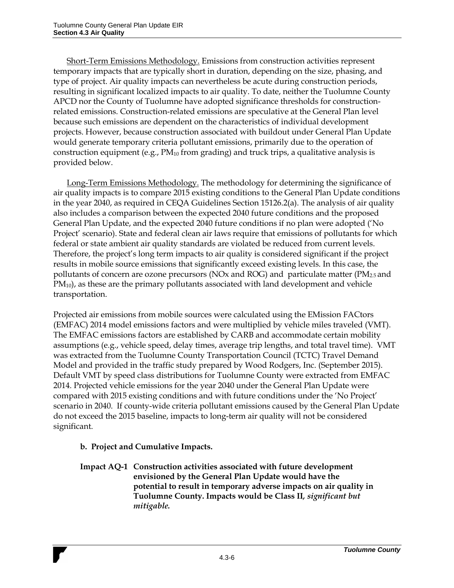Short-Term Emissions Methodology. Emissions from construction activities represent temporary impacts that are typically short in duration, depending on the size, phasing, and type of project. Air quality impacts can nevertheless be acute during construction periods, resulting in significant localized impacts to air quality. To date, neither the Tuolumne County APCD nor the County of Tuolumne have adopted significance thresholds for constructionrelated emissions. Construction-related emissions are speculative at the General Plan level because such emissions are dependent on the characteristics of individual development projects. However, because construction associated with buildout under General Plan Update would generate temporary criteria pollutant emissions, primarily due to the operation of construction equipment (e.g.,  $PM_{10}$  from grading) and truck trips, a qualitative analysis is provided below.

Long-Term Emissions Methodology. The methodology for determining the significance of air quality impacts is to compare 2015 existing conditions to the General Plan Update conditions in the year 2040, as required in CEQA Guidelines Section 15126.2(a). The analysis of air quality also includes a comparison between the expected 2040 future conditions and the proposed General Plan Update, and the expected 2040 future conditions if no plan were adopted ('No Project' scenario). State and federal clean air laws require that emissions of pollutants for which federal or state ambient air quality standards are violated be reduced from current levels. Therefore, the project's long term impacts to air quality is considered significant if the project results in mobile source emissions that significantly exceed existing levels. In this case, the pollutants of concern are ozone precursors (NOx and ROG) and particulate matter ( $PM_{2.5}$  and PM<sub>10</sub>), as these are the primary pollutants associated with land development and vehicle transportation.

Projected air emissions from mobile sources were calculated using the EMission FACtors (EMFAC) 2014 model emissions factors and were multiplied by vehicle miles traveled (VMT). The EMFAC emissions factors are established by CARB and accommodate certain mobility assumptions (e.g., vehicle speed, delay times, average trip lengths, and total travel time). VMT was extracted from the Tuolumne County Transportation Council (TCTC) Travel Demand Model and provided in the traffic study prepared by Wood Rodgers, Inc. (September 2015). Default VMT by speed class distributions for Tuolumne County were extracted from EMFAC 2014. Projected vehicle emissions for the year 2040 under the General Plan Update were compared with 2015 existing conditions and with future conditions under the 'No Project' scenario in 2040. If county-wide criteria pollutant emissions caused by the General Plan Update do not exceed the 2015 baseline, impacts to long-term air quality will not be considered significant.

## **b. Project and Cumulative Impacts.**

**Impact AQ-1 Construction activities associated with future development envisioned by the General Plan Update would have the potential to result in temporary adverse impacts on air quality in Tuolumne County. Impacts would be Class II***, significant but mitigable.*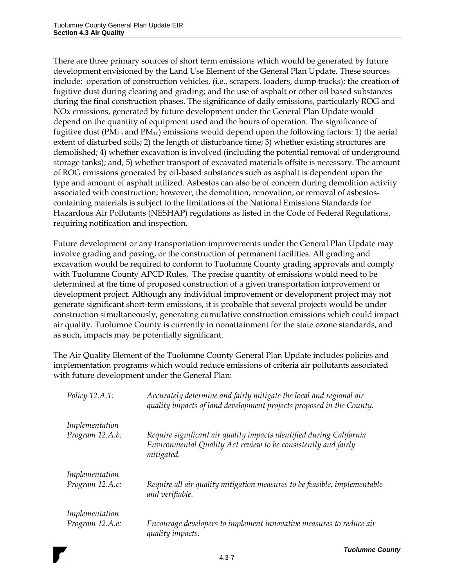There are three primary sources of short term emissions which would be generated by future development envisioned by the Land Use Element of the General Plan Update. These sources include: operation of construction vehicles, (i.e., scrapers, loaders, dump trucks); the creation of fugitive dust during clearing and grading; and the use of asphalt or other oil based substances during the final construction phases. The significance of daily emissions, particularly ROG and NOx emissions, generated by future development under the General Plan Update would depend on the quantity of equipment used and the hours of operation. The significance of fugitive dust ( $PM_{2,5}$  and  $PM_{10}$ ) emissions would depend upon the following factors: 1) the aerial extent of disturbed soils; 2) the length of disturbance time; 3) whether existing structures are demolished; 4) whether excavation is involved (including the potential removal of underground storage tanks); and, 5) whether transport of excavated materials offsite is necessary. The amount of ROG emissions generated by oil-based substances such as asphalt is dependent upon the type and amount of asphalt utilized. Asbestos can also be of concern during demolition activity associated with construction; however, the demolition, renovation, or removal of asbestoscontaining materials is subject to the limitations of the National Emissions Standards for Hazardous Air Pollutants (NESHAP) regulations as listed in the Code of Federal Regulations, requiring notification and inspection.

Future development or any transportation improvements under the General Plan Update may involve grading and paving, or the construction of permanent facilities. All grading and excavation would be required to conform to Tuolumne County grading approvals and comply with Tuolumne County APCD Rules. The precise quantity of emissions would need to be determined at the time of proposed construction of a given transportation improvement or development project. Although any individual improvement or development project may not generate significant short-term emissions, it is probable that several projects would be under construction simultaneously, generating cumulative construction emissions which could impact air quality. Tuolumne County is currently in nonattainment for the state ozone standards, and as such, impacts may be potentially significant.

The Air Quality Element of the Tuolumne County General Plan Update includes policies and implementation programs which would reduce emissions of criteria air pollutants associated with future development under the General Plan:

| Policy 12.A.1:  | Accurately determine and fairly mitigate the local and regional air<br>quality impacts of land development projects proposed in the County.          |
|-----------------|------------------------------------------------------------------------------------------------------------------------------------------------------|
| Implementation  |                                                                                                                                                      |
| Program 12.A.b: | Require significant air quality impacts identified during California<br>Environmental Quality Act review to be consistently and fairly<br>mitigated. |
| Implementation  |                                                                                                                                                      |
| Program 12.A.c: | Require all air quality mitigation measures to be feasible, implementable<br>and verifiable.                                                         |
| Implementation  |                                                                                                                                                      |
| Program 12.A.e: | Encourage developers to implement innovative measures to reduce air<br>quality impacts.                                                              |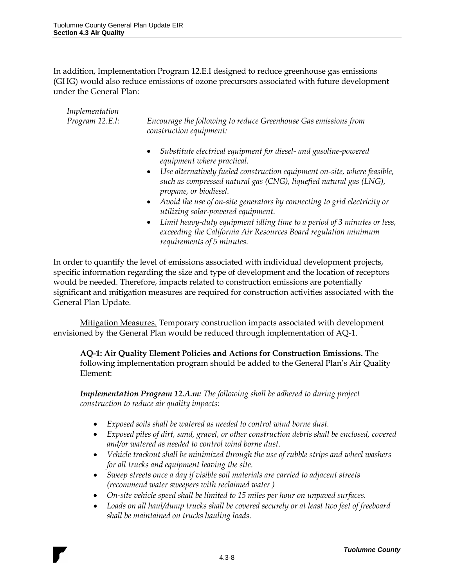In addition, Implementation Program 12.E.I designed to reduce greenhouse gas emissions (GHG) would also reduce emissions of ozone precursors associated with future development under the General Plan:

| Implementation<br>Program 12.E.l: | Encourage the following to reduce Greenhouse Gas emissions from<br>construction equipment:                                                                                                                                                                                                           |  |  |  |  |
|-----------------------------------|------------------------------------------------------------------------------------------------------------------------------------------------------------------------------------------------------------------------------------------------------------------------------------------------------|--|--|--|--|
|                                   | Substitute electrical equipment for diesel- and gasoline-powered<br>$\bullet$<br>equipment where practical.<br>Use alternatively fueled construction equipment on-site, where feasible,<br>$\bullet$<br>such as compressed natural gas (CNG), liquefied natural gas (LNG),<br>propane, or biodiesel. |  |  |  |  |
|                                   | • Avoid the use of on-site generators by connecting to grid electricity or<br>utilizing solar-powered equipment.<br>Limit heavy-duty equipment idling time to a period of 3 minutes or less,<br>$\bullet$<br>exceeding the California Air Resources Board regulation minimum                         |  |  |  |  |

In order to quantify the level of emissions associated with individual development projects, specific information regarding the size and type of development and the location of receptors would be needed. Therefore, impacts related to construction emissions are potentially significant and mitigation measures are required for construction activities associated with the General Plan Update.

*requirements of 5 minutes.*

Mitigation Measures. Temporary construction impacts associated with development envisioned by the General Plan would be reduced through implementation of AQ-1.

**AQ-1: Air Quality Element Policies and Actions for Construction Emissions.** The following implementation program should be added to the General Plan's Air Quality Element:

*Implementation Program 12.A.m: The following shall be adhered to during project construction to reduce air quality impacts:* 

- *Exposed soils shall be watered as needed to control wind borne dust.*
- *Exposed piles of dirt, sand, gravel, or other construction debris shall be enclosed, covered and/or watered as needed to control wind borne dust.*
- *Vehicle trackout shall be minimized through the use of rubble strips and wheel washers for all trucks and equipment leaving the site.*
- *Sweep streets once a day if visible soil materials are carried to adjacent streets (recommend water sweepers with reclaimed water )*
- *On-site vehicle speed shall be limited to 15 miles per hour on unpaved surfaces.*
- *Loads on all haul/dump trucks shall be covered securely or at least two feet of freeboard shall be maintained on trucks hauling loads.*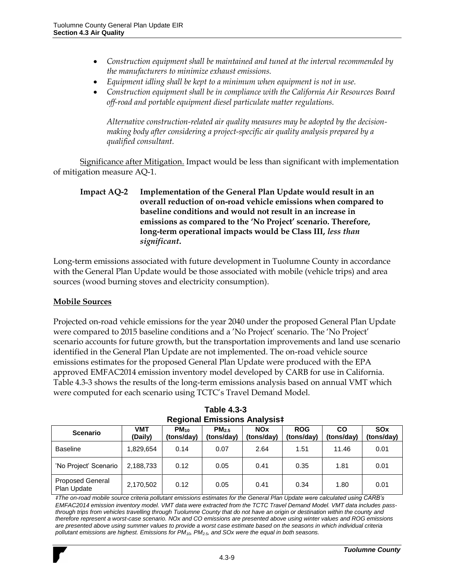- *Construction equipment shall be maintained and tuned at the interval recommended by the manufacturers to minimize exhaust emissions.*
- *Equipment idling shall be kept to a minimum when equipment is not in use.*
- *Construction equipment shall be in compliance with the California Air Resources Board off-road and portable equipment diesel particulate matter regulations.*

*Alternative construction-related air quality measures may be adopted by the decisionmaking body after considering a project-specific air quality analysis prepared by a qualified consultant.*

Significance after Mitigation. Impact would be less than significant with implementation of mitigation measure AQ-1.

Long-term emissions associated with future development in Tuolumne County in accordance with the General Plan Update would be those associated with mobile (vehicle trips) and area sources (wood burning stoves and electricity consumption).

#### **Mobile Sources**

Projected on-road vehicle emissions for the year 2040 under the proposed General Plan Update were compared to 2015 baseline conditions and a 'No Project' scenario. The 'No Project' scenario accounts for future growth, but the transportation improvements and land use scenario identified in the General Plan Update are not implemented. The on-road vehicle source emissions estimates for the proposed General Plan Update were produced with the EPA approved EMFAC2014 emission inventory model developed by CARB for use in California. Table 4.3-3 shows the results of the long-term emissions analysis based on annual VMT which were computed for each scenario using TCTC's Travel Demand Model.

| REGIONAL LINISSIONS ANALYSIST          |                |                         |                          |                          |                          |                  |                          |
|----------------------------------------|----------------|-------------------------|--------------------------|--------------------------|--------------------------|------------------|--------------------------|
| <b>Scenario</b>                        | VMT<br>(Daily) | $PM_{10}$<br>(tons/day) | $PM_{2.5}$<br>(tons/day) | <b>NOx</b><br>(tons/day) | <b>ROG</b><br>(tons/day) | CO<br>(tons/day) | <b>SOx</b><br>(tons/day) |
| <b>Baseline</b>                        | 1.829.654      | 0.14                    | 0.07                     | 2.64                     | 1.51                     | 11.46            | 0.01                     |
| 'No Project' Scenario                  | 2.188.733      | 0.12                    | 0.05                     | 0.41                     | 0.35                     | 1.81             | 0.01                     |
| <b>Proposed General</b><br>Plan Update | 2,170,502      | 0.12                    | 0.05                     | 0.41                     | 0.34                     | 1.80             | 0.01                     |

**Table 4.3-3 Regional Emissions Analysis‡**

*‡The on-road mobile source criteria pollutant emissions estimates for the General Plan Update were calculated using CARB's EMFAC2014 emission inventory model. VMT data were extracted from the TCTC Travel Demand Model. VMT data includes passthrough trips from vehicles travelling through Tuolumne County that do not have an origin or destination within the county and therefore represent a worst-case scenario. NOx and CO emissions are presented above using winter values and ROG emissions are presented above using summer values to provide a worst case estimate based on the seasons in which individual criteria pollutant emissions are highest. Emissions for PM10, PM2.5, and SOx were the equal in both seasons.*

**Impact AQ-2 Implementation of the General Plan Update would result in an overall reduction of on-road vehicle emissions when compared to baseline conditions and would not result in an increase in emissions as compared to the 'No Project' scenario. Therefore, long-term operational impacts would be Class III,** *less than significant***.**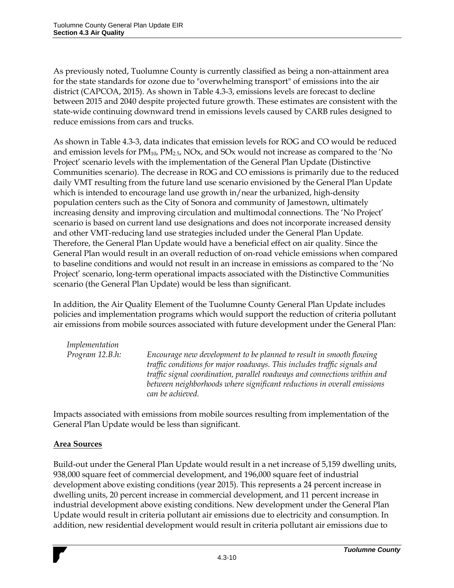As previously noted, Tuolumne County is currently classified as being a non-attainment area for the state standards for ozone due to "overwhelming transport" of emissions into the air district (CAPCOA, 2015). As shown in Table 4.3-3, emissions levels are forecast to decline between 2015 and 2040 despite projected future growth. These estimates are consistent with the state-wide continuing downward trend in emissions levels caused by CARB rules designed to reduce emissions from cars and trucks.

As shown in Table 4.3-3, data indicates that emission levels for ROG and CO would be reduced and emission levels for  $PM_{10}$ ,  $PM_{2.5}$ , NOx, and SOx would not increase as compared to the 'No Project' scenario levels with the implementation of the General Plan Update (Distinctive Communities scenario). The decrease in ROG and CO emissions is primarily due to the reduced daily VMT resulting from the future land use scenario envisioned by the General Plan Update which is intended to encourage land use growth in/near the urbanized, high-density population centers such as the City of Sonora and community of Jamestown, ultimately increasing density and improving circulation and multimodal connections. The 'No Project' scenario is based on current land use designations and does not incorporate increased density and other VMT-reducing land use strategies included under the General Plan Update. Therefore, the General Plan Update would have a beneficial effect on air quality. Since the General Plan would result in an overall reduction of on-road vehicle emissions when compared to baseline conditions and would not result in an increase in emissions as compared to the 'No Project' scenario, long-term operational impacts associated with the Distinctive Communities scenario (the General Plan Update) would be less than significant.

In addition, the Air Quality Element of the Tuolumne County General Plan Update includes policies and implementation programs which would support the reduction of criteria pollutant air emissions from mobile sources associated with future development under the General Plan:

| Implementation  |                                                                                                                                                                                                                                                                                                                             |
|-----------------|-----------------------------------------------------------------------------------------------------------------------------------------------------------------------------------------------------------------------------------------------------------------------------------------------------------------------------|
| Program 12.B.h: | Encourage new development to be planned to result in smooth flowing<br>traffic conditions for major roadways. This includes traffic signals and<br>traffic signal coordination, parallel roadways and connections within and<br>between neighborhoods where significant reductions in overall emissions<br>can be achieved. |
|                 |                                                                                                                                                                                                                                                                                                                             |

Impacts associated with emissions from mobile sources resulting from implementation of the General Plan Update would be less than significant.

#### **Area Sources**

Build-out under the General Plan Update would result in a net increase of 5,159 dwelling units, 938,000 square feet of commercial development, and 196,000 square feet of industrial development above existing conditions (year 2015). This represents a 24 percent increase in dwelling units, 20 percent increase in commercial development, and 11 percent increase in industrial development above existing conditions. New development under the General Plan Update would result in criteria pollutant air emissions due to electricity and consumption. In addition, new residential development would result in criteria pollutant air emissions due to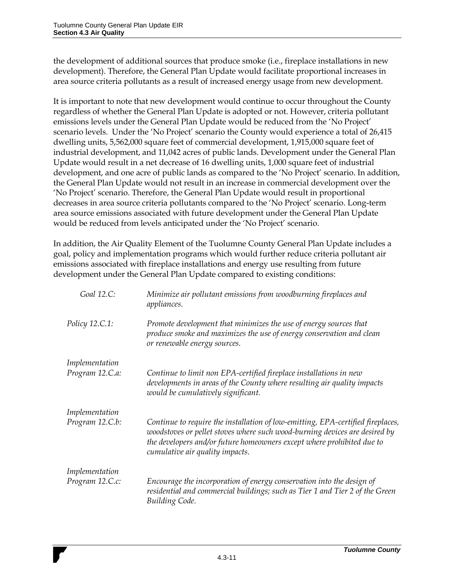the development of additional sources that produce smoke (i.e., fireplace installations in new development). Therefore, the General Plan Update would facilitate proportional increases in area source criteria pollutants as a result of increased energy usage from new development.

It is important to note that new development would continue to occur throughout the County regardless of whether the General Plan Update is adopted or not. However, criteria pollutant emissions levels under the General Plan Update would be reduced from the 'No Project' scenario levels. Under the 'No Project' scenario the County would experience a total of 26,415 dwelling units, 5,562,000 square feet of commercial development, 1,915,000 square feet of industrial development, and 11,042 acres of public lands. Development under the General Plan Update would result in a net decrease of 16 dwelling units, 1,000 square feet of industrial development, and one acre of public lands as compared to the 'No Project' scenario. In addition, the General Plan Update would not result in an increase in commercial development over the 'No Project' scenario. Therefore, the General Plan Update would result in proportional decreases in area source criteria pollutants compared to the 'No Project' scenario. Long-term area source emissions associated with future development under the General Plan Update would be reduced from levels anticipated under the 'No Project' scenario.

In addition, the Air Quality Element of the Tuolumne County General Plan Update includes a goal, policy and implementation programs which would further reduce criteria pollutant air emissions associated with fireplace installations and energy use resulting from future development under the General Plan Update compared to existing conditions:

| Goal 12.C:      | Minimize air pollutant emissions from woodburning fireplaces and<br>appliances.                                                                                                                                                                                            |
|-----------------|----------------------------------------------------------------------------------------------------------------------------------------------------------------------------------------------------------------------------------------------------------------------------|
| Policy 12.C.1:  | Promote development that minimizes the use of energy sources that<br>produce smoke and maximizes the use of energy conservation and clean<br>or renewable energy sources.                                                                                                  |
| Implementation  |                                                                                                                                                                                                                                                                            |
| Program 12.C.a: | Continue to limit non EPA-certified fireplace installations in new<br>developments in areas of the County where resulting air quality impacts<br>would be cumulatively significant.                                                                                        |
| Implementation  |                                                                                                                                                                                                                                                                            |
| Program 12.C.b: | Continue to require the installation of low-emitting, EPA-certified fireplaces,<br>woodstoves or pellet stoves where such wood-burning devices are desired by<br>the developers and/or future homeowners except where prohibited due to<br>cumulative air quality impacts. |
| Implementation  |                                                                                                                                                                                                                                                                            |
| Program 12.C.c: | Encourage the incorporation of energy conservation into the design of<br>residential and commercial buildings; such as Tier 1 and Tier 2 of the Green<br>Building Code.                                                                                                    |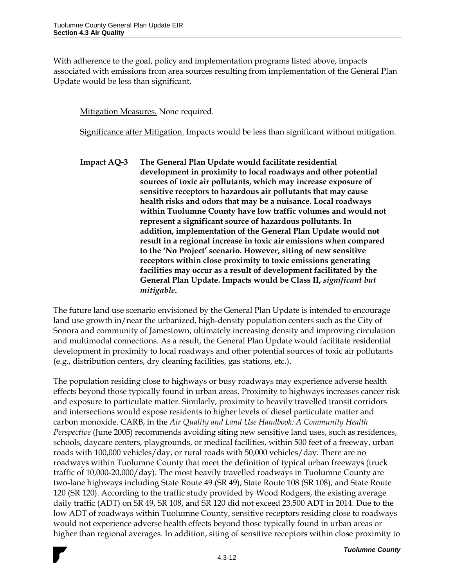With adherence to the goal, policy and implementation programs listed above, impacts associated with emissions from area sources resulting from implementation of the General Plan Update would be less than significant.

Mitigation Measures. None required.

Significance after Mitigation. Impacts would be less than significant without mitigation.

**Impact AQ-3 The General Plan Update would facilitate residential development in proximity to local roadways and other potential sources of toxic air pollutants, which may increase exposure of sensitive receptors to hazardous air pollutants that may cause health risks and odors that may be a nuisance. Local roadways within Tuolumne County have low traffic volumes and would not represent a significant source of hazardous pollutants. In addition, implementation of the General Plan Update would not result in a regional increase in toxic air emissions when compared to the 'No Project' scenario. However, siting of new sensitive receptors within close proximity to toxic emissions generating facilities may occur as a result of development facilitated by the General Plan Update. Impacts would be Class II,** *significant but mitigable***.**

The future land use scenario envisioned by the General Plan Update is intended to encourage land use growth in/near the urbanized, high-density population centers such as the City of Sonora and community of Jamestown, ultimately increasing density and improving circulation and multimodal connections. As a result, the General Plan Update would facilitate residential development in proximity to local roadways and other potential sources of toxic air pollutants (e.g., distribution centers, dry cleaning facilities, gas stations, etc.).

The population residing close to highways or busy roadways may experience adverse health effects beyond those typically found in urban areas. Proximity to highways increases cancer risk and exposure to particulate matter. Similarly, proximity to heavily travelled transit corridors and intersections would expose residents to higher levels of diesel particulate matter and carbon monoxide. CARB, in the *Air Quality and Land Use Handbook: A Community Health Perspective* (June 2005) recommends avoiding siting new sensitive land uses, such as residences, schools, daycare centers, playgrounds, or medical facilities, within 500 feet of a freeway, urban roads with 100,000 vehicles/day, or rural roads with 50,000 vehicles/day. There are no roadways within Tuolumne County that meet the definition of typical urban freeways (truck traffic of 10,000-20,000/day). The most heavily travelled roadways in Tuolumne County are two-lane highways including State Route 49 (SR 49), State Route 108 (SR 108), and State Route 120 (SR 120). According to the traffic study provided by Wood Rodgers, the existing average daily traffic (ADT) on SR 49, SR 108, and SR 120 did not exceed 23,500 ADT in 2014. Due to the low ADT of roadways within Tuolumne County, sensitive receptors residing close to roadways would not experience adverse health effects beyond those typically found in urban areas or higher than regional averages. In addition, siting of sensitive receptors within close proximity to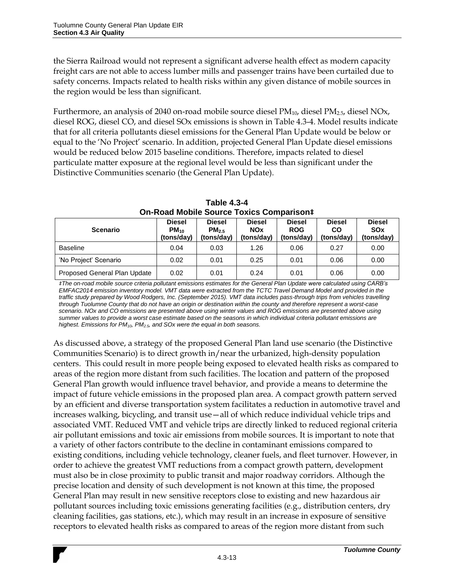the Sierra Railroad would not represent a significant adverse health effect as modern capacity freight cars are not able to access lumber mills and passenger trains have been curtailed due to safety concerns. Impacts related to health risks within any given distance of mobile sources in the region would be less than significant.

Furthermore, an analysis of 2040 on-road mobile source diesel PM<sub>10</sub>, diesel PM<sub>2.5</sub>, diesel NOx, diesel ROG, diesel CO, and diesel SOx emissions is shown in Table 4.3-4. Model results indicate that for all criteria pollutants diesel emissions for the General Plan Update would be below or equal to the 'No Project' scenario. In addition, projected General Plan Update diesel emissions would be reduced below 2015 baseline conditions. Therefore, impacts related to diesel particulate matter exposure at the regional level would be less than significant under the Distinctive Communities scenario (the General Plan Update).

| <b>Scenario</b>              | <b>Diesel</b><br>$PM_{10}$<br>(tons/day) | <b>Diesel</b><br>PM <sub>2.5</sub><br>(tons/day) | <b>Diesel</b><br><b>NOx</b><br>(tons/day) | <b>Diesel</b><br><b>ROG</b><br>(tons/day) | <b>Diesel</b><br>CO<br>(tons/day) | <b>Diesel</b><br><b>SOx</b><br>(tons/day) |
|------------------------------|------------------------------------------|--------------------------------------------------|-------------------------------------------|-------------------------------------------|-----------------------------------|-------------------------------------------|
| <b>Baseline</b>              | 0.04                                     | 0.03                                             | 1.26                                      | 0.06                                      | 0.27                              | 0.00                                      |
| 'No Project' Scenario        | 0.02                                     | 0.01                                             | 0.25                                      | 0.01                                      | 0.06                              | 0.00                                      |
| Proposed General Plan Update | 0.02                                     | 0.01                                             | 0.24                                      | 0.01                                      | 0.06                              | 0.00                                      |

**Table 4.3-4 On-Road Mobile Source Toxics Comparison‡**

*‡The on-road mobile source criteria pollutant emissions estimates for the General Plan Update were calculated using CARB's EMFAC2014 emission inventory model. VMT data were extracted from the TCTC Travel Demand Model and provided in the traffic study prepared by Wood Rodgers, Inc. (September 2015). VMT data includes pass-through trips from vehicles travelling through Tuolumne County that do not have an origin or destination within the county and therefore represent a worst-case scenario. NOx and CO emissions are presented above using winter values and ROG emissions are presented above using summer values to provide a worst case estimate based on the seasons in which individual criteria pollutant emissions are highest. Emissions for PM10, PM2.5, and SOx were the equal in both seasons.*

As discussed above, a strategy of the proposed General Plan land use scenario (the Distinctive Communities Scenario) is to direct growth in/near the urbanized, high-density population centers. This could result in more people being exposed to elevated health risks as compared to areas of the region more distant from such facilities. The location and pattern of the proposed General Plan growth would influence travel behavior, and provide a means to determine the impact of future vehicle emissions in the proposed plan area. A compact growth pattern served by an efficient and diverse transportation system facilitates a reduction in automotive travel and increases walking, bicycling, and transit use—all of which reduce individual vehicle trips and associated VMT. Reduced VMT and vehicle trips are directly linked to reduced regional criteria air pollutant emissions and toxic air emissions from mobile sources. It is important to note that a variety of other factors contribute to the decline in contaminant emissions compared to existing conditions, including vehicle technology, cleaner fuels, and fleet turnover. However, in order to achieve the greatest VMT reductions from a compact growth pattern, development must also be in close proximity to public transit and major roadway corridors. Although the precise location and density of such development is not known at this time, the proposed General Plan may result in new sensitive receptors close to existing and new hazardous air pollutant sources including toxic emissions generating facilities (e.g., distribution centers, dry cleaning facilities, gas stations, etc.), which may result in an increase in exposure of sensitive receptors to elevated health risks as compared to areas of the region more distant from such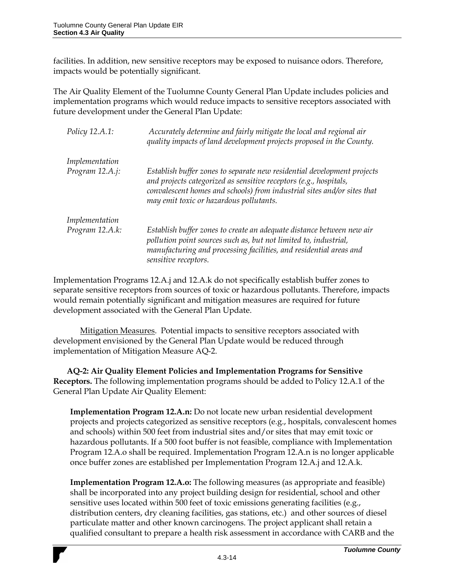facilities. In addition, new sensitive receptors may be exposed to nuisance odors. Therefore, impacts would be potentially significant.

The Air Quality Element of the Tuolumne County General Plan Update includes policies and implementation programs which would reduce impacts to sensitive receptors associated with future development under the General Plan Update:

| Policy 12.A.1:  | Accurately determine and fairly mitigate the local and regional air<br>quality impacts of land development projects proposed in the County.                                                                                                                        |
|-----------------|--------------------------------------------------------------------------------------------------------------------------------------------------------------------------------------------------------------------------------------------------------------------|
| Implementation  |                                                                                                                                                                                                                                                                    |
| Program 12.A.j: | Establish buffer zones to separate new residential development projects<br>and projects categorized as sensitive receptors (e.g., hospitals,<br>convalescent homes and schools) from industrial sites and/or sites that<br>may emit toxic or hazardous pollutants. |
| Implementation  |                                                                                                                                                                                                                                                                    |
| Program 12.A.k: | Establish buffer zones to create an adequate distance between new air<br>pollution point sources such as, but not limited to, industrial,<br>manufacturing and processing facilities, and residential areas and<br>sensitive receptors.                            |

Implementation Programs 12.A.j and 12.A.k do not specifically establish buffer zones to separate sensitive receptors from sources of toxic or hazardous pollutants. Therefore, impacts would remain potentially significant and mitigation measures are required for future development associated with the General Plan Update.

Mitigation Measures. Potential impacts to sensitive receptors associated with development envisioned by the General Plan Update would be reduced through implementation of Mitigation Measure AQ-2.

**AQ-2: Air Quality Element Policies and Implementation Programs for Sensitive Receptors.** The following implementation programs should be added to Policy 12.A.1 of the General Plan Update Air Quality Element:

**Implementation Program 12.A.n:** Do not locate new urban residential development projects and projects categorized as sensitive receptors (e.g., hospitals, convalescent homes and schools) within 500 feet from industrial sites and/or sites that may emit toxic or hazardous pollutants. If a 500 foot buffer is not feasible, compliance with Implementation Program 12.A.o shall be required. Implementation Program 12.A.n is no longer applicable once buffer zones are established per Implementation Program 12.A.j and 12.A.k.

**Implementation Program 12.A.o:** The following measures (as appropriate and feasible) shall be incorporated into any project building design for residential, school and other sensitive uses located within 500 feet of toxic emissions generating facilities (e.g., distribution centers, dry cleaning facilities, gas stations, etc.) and other sources of diesel particulate matter and other known carcinogens. The project applicant shall retain a qualified consultant to prepare a health risk assessment in accordance with CARB and the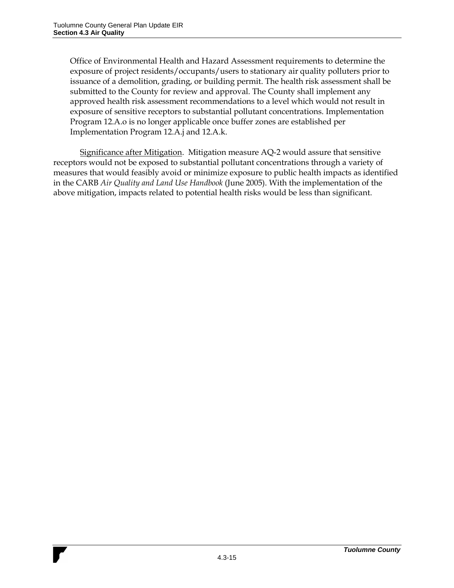Office of Environmental Health and Hazard Assessment requirements to determine the exposure of project residents/occupants/users to stationary air quality polluters prior to issuance of a demolition, grading, or building permit. The health risk assessment shall be submitted to the County for review and approval. The County shall implement any approved health risk assessment recommendations to a level which would not result in exposure of sensitive receptors to substantial pollutant concentrations. Implementation Program 12.A.o is no longer applicable once buffer zones are established per Implementation Program 12.A.j and 12.A.k.

Significance after Mitigation. Mitigation measure AQ-2 would assure that sensitive receptors would not be exposed to substantial pollutant concentrations through a variety of measures that would feasibly avoid or minimize exposure to public health impacts as identified in the CARB *Air Quality and Land Use Handbook* (June 2005). With the implementation of the above mitigation, impacts related to potential health risks would be less than significant.